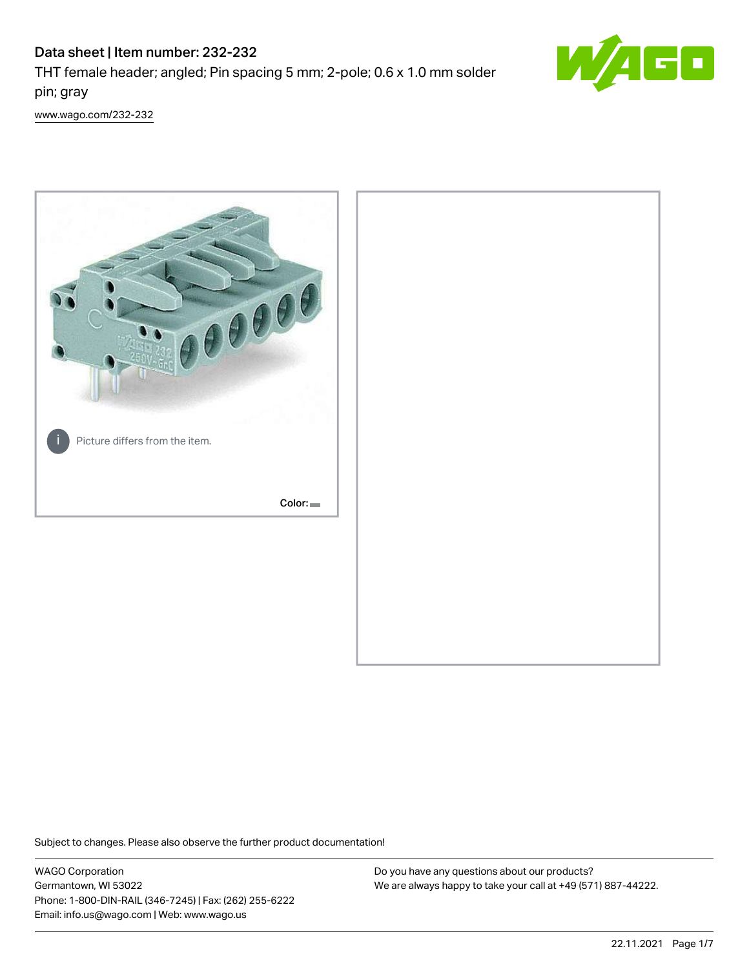# Data sheet | Item number: 232-232

THT female header; angled; Pin spacing 5 mm; 2-pole; 0.6 x 1.0 mm solder pin; gray



[www.wago.com/232-232](http://www.wago.com/232-232)



Subject to changes. Please also observe the further product documentation!

WAGO Corporation Germantown, WI 53022 Phone: 1-800-DIN-RAIL (346-7245) | Fax: (262) 255-6222 Email: info.us@wago.com | Web: www.wago.us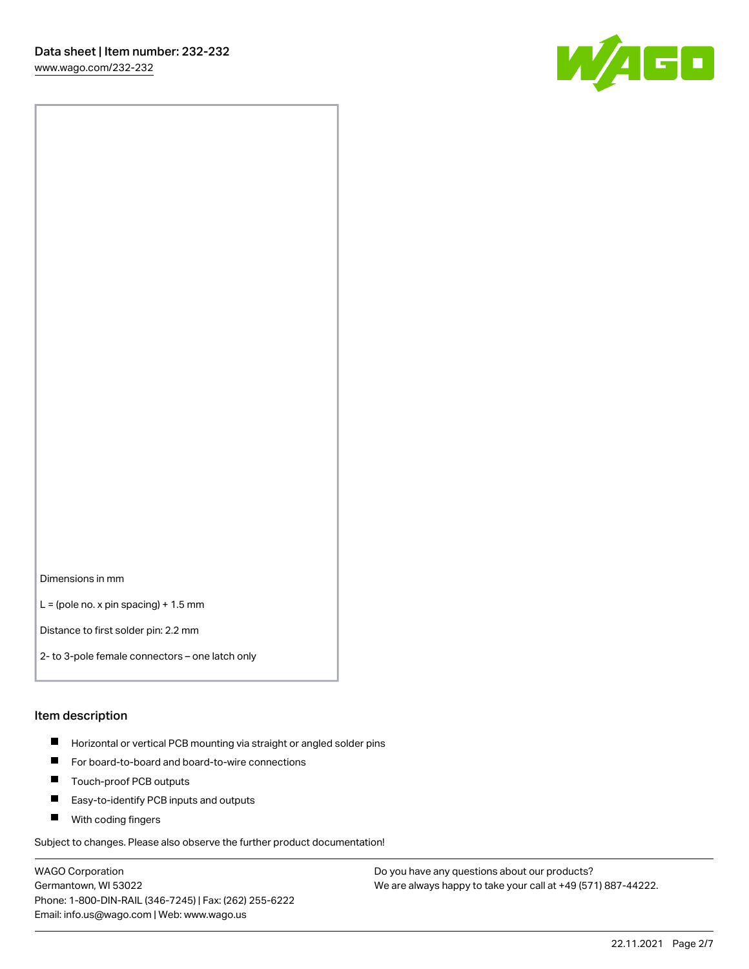[www.wago.com/232-232](http://www.wago.com/232-232)



Dimensions in mm

 $L =$  (pole no. x pin spacing) + 1.5 mm

Distance to first solder pin: 2.2 mm

2- to 3-pole female connectors – one latch only

#### Item description

- **Horizontal or vertical PCB mounting via straight or angled solder pins**
- For board-to-board and board-to-wire connections
- $\blacksquare$ Touch-proof PCB outputs
- $\blacksquare$ Easy-to-identify PCB inputs and outputs
- **Now With coding fingers**

Subject to changes. Please also observe the further product documentation!

WAGO Corporation Germantown, WI 53022 Phone: 1-800-DIN-RAIL (346-7245) | Fax: (262) 255-6222 Email: info.us@wago.com | Web: www.wago.us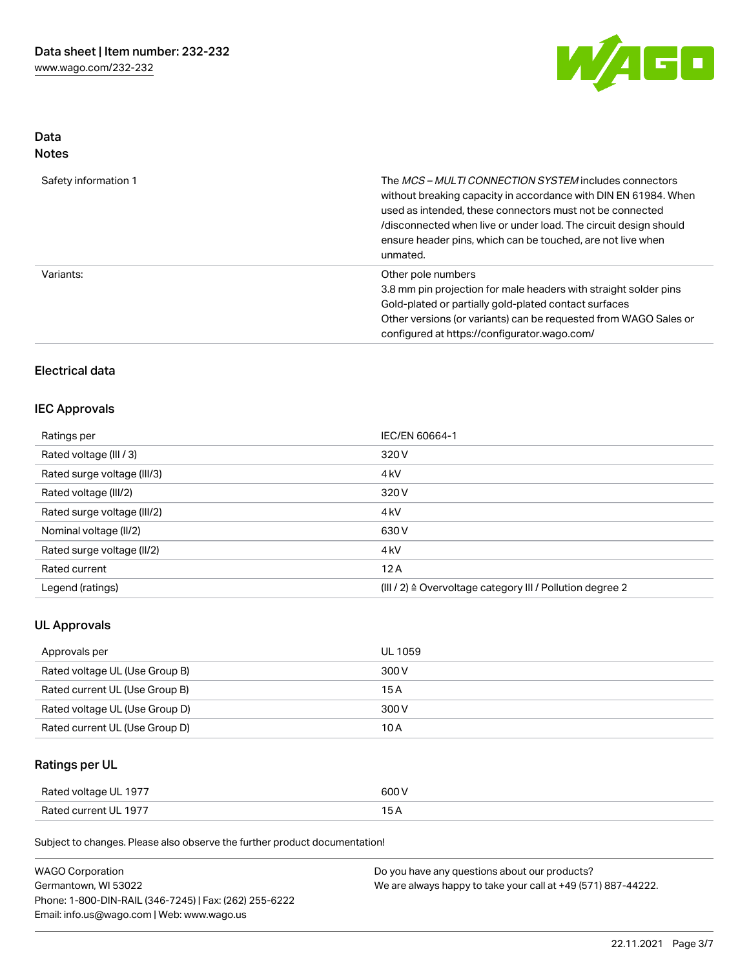

### Data Notes

| Safety information 1 | The <i>MCS – MULTI CONNECTION SYSTEM</i> includes connectors<br>without breaking capacity in accordance with DIN EN 61984. When<br>used as intended, these connectors must not be connected<br>/disconnected when live or under load. The circuit design should<br>ensure header pins, which can be touched, are not live when<br>unmated. |
|----------------------|--------------------------------------------------------------------------------------------------------------------------------------------------------------------------------------------------------------------------------------------------------------------------------------------------------------------------------------------|
| Variants:            | Other pole numbers<br>3.8 mm pin projection for male headers with straight solder pins<br>Gold-plated or partially gold-plated contact surfaces<br>Other versions (or variants) can be requested from WAGO Sales or<br>configured at https://configurator.wago.com/                                                                        |

# Electrical data

### IEC Approvals

| Ratings per                 | IEC/EN 60664-1                                                       |
|-----------------------------|----------------------------------------------------------------------|
| Rated voltage (III / 3)     | 320 V                                                                |
| Rated surge voltage (III/3) | 4 <sub>k</sub> V                                                     |
| Rated voltage (III/2)       | 320 V                                                                |
| Rated surge voltage (III/2) | 4 <sub>k</sub> V                                                     |
| Nominal voltage (II/2)      | 630 V                                                                |
| Rated surge voltage (II/2)  | 4 <sub>k</sub> V                                                     |
| Rated current               | 12A                                                                  |
| Legend (ratings)            | (III / 2) $\triangleq$ Overvoltage category III / Pollution degree 2 |

# UL Approvals

| Approvals per                  | UL 1059 |
|--------------------------------|---------|
| Rated voltage UL (Use Group B) | 300 V   |
| Rated current UL (Use Group B) | 15 A    |
| Rated voltage UL (Use Group D) | 300 V   |
| Rated current UL (Use Group D) | 10 A    |

# Ratings per UL

| Rated voltage UL 1977 | 500 V |
|-----------------------|-------|
| Rated current UL 1977 |       |

Subject to changes. Please also observe the further product documentation!

| <b>WAGO Corporation</b>                                | Do you have any questions about our products?                 |
|--------------------------------------------------------|---------------------------------------------------------------|
| Germantown, WI 53022                                   | We are always happy to take your call at +49 (571) 887-44222. |
| Phone: 1-800-DIN-RAIL (346-7245)   Fax: (262) 255-6222 |                                                               |
| Email: info.us@wago.com   Web: www.wago.us             |                                                               |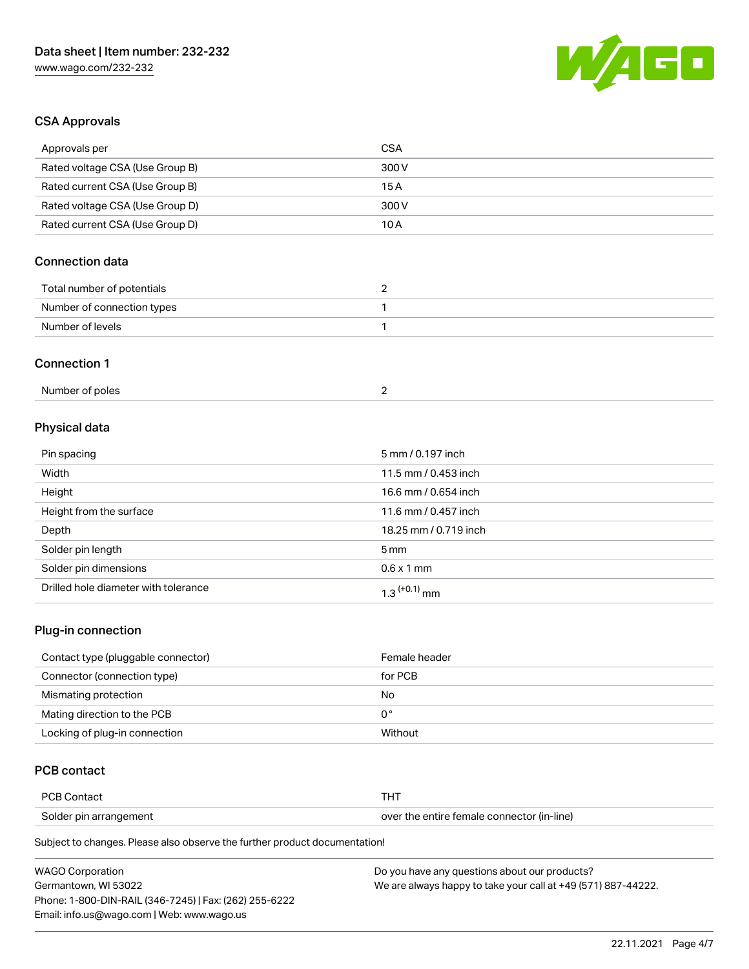

# CSA Approvals

| Approvals per                   | <b>CSA</b>            |
|---------------------------------|-----------------------|
| Rated voltage CSA (Use Group B) | 300V                  |
| Rated current CSA (Use Group B) | 15A                   |
| Rated voltage CSA (Use Group D) | 300 V                 |
| Rated current CSA (Use Group D) | 10A                   |
| <b>Connection data</b>          |                       |
| Total number of potentials      | $\overline{c}$        |
| Number of connection types      | 1                     |
| Number of levels                | $\mathbf{1}$          |
| <b>Connection 1</b>             |                       |
| Number of poles                 | $\overline{2}$        |
| Physical data                   |                       |
| Pin spacing                     | 5 mm / 0.197 inch     |
| Width                           | 11.5 mm / 0.453 inch  |
| Height                          | 16.6 mm / 0.654 inch  |
| Height from the surface         | 11.6 mm / 0.457 inch  |
| Depth                           | 18.25 mm / 0.719 inch |

| Solder pin length                    | $5 \,\mathrm{mm}$          |
|--------------------------------------|----------------------------|
| Solder pin dimensions                | $0.6 \times 1$ mm          |
| Drilled hole diameter with tolerance | $1.3$ <sup>(+0.1)</sup> mm |

### Plug-in connection

| Contact type (pluggable connector) | Female header |
|------------------------------------|---------------|
| Connector (connection type)        | for PCB       |
| Mismating protection               | No            |
| Mating direction to the PCB        | 0°            |
| Locking of plug-in connection      | Without       |

# PCB contact

| <b>PCB Contact</b>     |                                            |
|------------------------|--------------------------------------------|
| Solder pin arrangement | over the entire female connector (in-line) |

Subject to changes. Please also observe the further product documentation!

| <b>WAGO Corporation</b>                                | Do you have any questions about our products?                 |
|--------------------------------------------------------|---------------------------------------------------------------|
| Germantown. WI 53022                                   | We are always happy to take your call at +49 (571) 887-44222. |
| Phone: 1-800-DIN-RAIL (346-7245)   Fax: (262) 255-6222 |                                                               |
| Email: info.us@wago.com   Web: www.wago.us             |                                                               |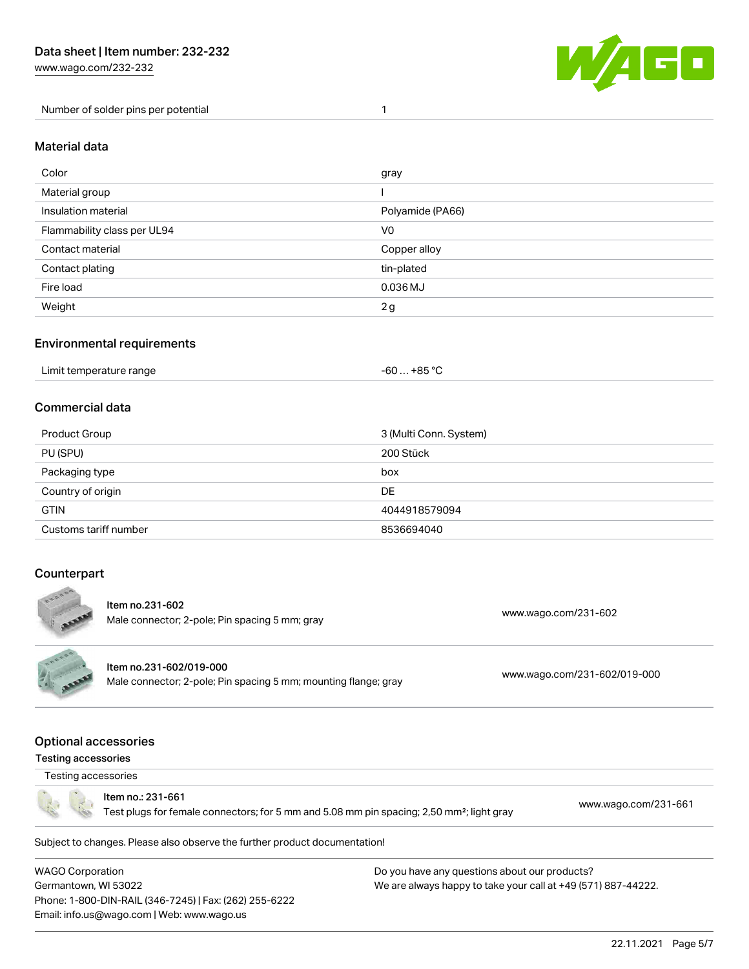[www.wago.com/232-232](http://www.wago.com/232-232)

Number of solder pins per potential 1



#### Material data

| Color                       | gray             |
|-----------------------------|------------------|
| Material group              |                  |
| Insulation material         | Polyamide (PA66) |
| Flammability class per UL94 | V <sub>0</sub>   |
| Contact material            | Copper alloy     |
| Contact plating             | tin-plated       |
| Fire load                   | $0.036$ MJ       |
| Weight                      | 2g               |

### Environmental requirements

| Limit temperature range | -60 … +85 °C |
|-------------------------|--------------|
|-------------------------|--------------|

### Commercial data

| Product Group         | 3 (Multi Conn. System) |
|-----------------------|------------------------|
| PU (SPU)              | 200 Stück              |
| Packaging type        | box                    |
| Country of origin     | DE                     |
| <b>GTIN</b>           | 4044918579094          |
| Customs tariff number | 8536694040             |

### **Counterpart**



Item no.231-602 nem no.251-602<br>Male connector; 2-pole; Pin spacing 5 mm; gray [www.wago.com/231-602](https://www.wago.com/231-602)

Item no.231-602/019-000 Male connector; 2-pole; Pin spacing 5 mm; mounting flange; gray [www.wago.com/231-602/019-000](https://www.wago.com/231-602/019-000)

### Optional accessories

#### Testing accessories



Item no.: 231-661

Test plugs for female connectors; for 5 mm and 5.08 mm pin spacing; 2,50 mm²; light gray [www.wago.com/231-661](http://www.wago.com/231-661)

Subject to changes. Please also observe the further product documentation!

WAGO Corporation Germantown, WI 53022 Phone: 1-800-DIN-RAIL (346-7245) | Fax: (262) 255-6222 Email: info.us@wago.com | Web: www.wago.us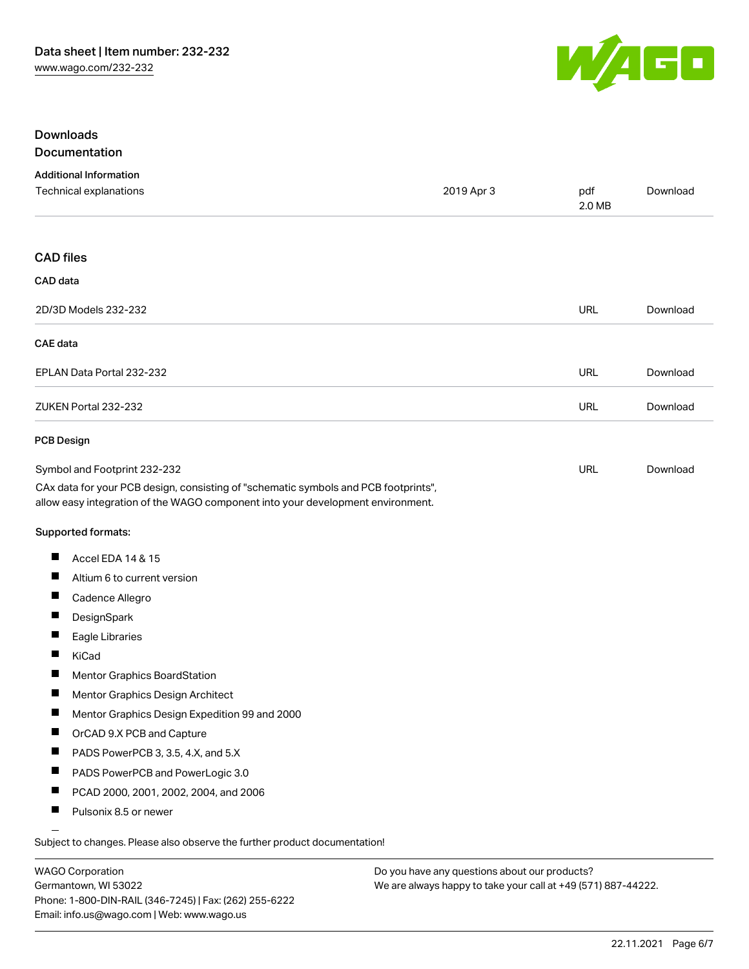

### Downloads Documentation

### Additional Information Technical explanations 2019 Apr 3 pdf [Download](https://www.wago.com/global/d/1435602) 2.0 MB CAD files CAD data 2D/3D Models 232-232 URL [Download](https://www.wago.com/global/d/3D_URLS_232-232) CAE data EPLAN Data Portal 232-232 URL [Download](https://www.wago.com/global/d/EPLAN_URLS_232-232) ZUKEN Portal 232-232 URL [Download](https://www.wago.com/global/d/Zuken_URLS_232-232) PCB Design Symbol and Footprint 232-232 URL [Download](https://www.wago.com/global/d/UltraLibrarian_URLS_232-232)CAx data for your PCB design, consisting of "schematic symbols and PCB footprints", allow easy integration of the WAGO component into your development environment. Supported formats:  $\blacksquare$ Accel EDA 14 & 15 П Altium 6 to current version П Cadence Allegro П **DesignSpark**  $\blacksquare$ Eagle Libraries  $\blacksquare$ KiCad  $\blacksquare$ Mentor Graphics BoardStation П Mentor Graphics Design Architect П Mentor Graphics Design Expedition 99 and 2000  $\blacksquare$ OrCAD 9.X PCB and Capture  $\blacksquare$ PADS PowerPCB 3, 3.5, 4.X, and 5.X  $\blacksquare$ PADS PowerPCB and PowerLogic 3.0 П PCAD 2000, 2001, 2002, 2004, and 2006 П Pulsonix 8.5 or newer

Subject to changes. Please also observe the further product documentation!

WAGO Corporation Germantown, WI 53022 Phone: 1-800-DIN-RAIL (346-7245) | Fax: (262) 255-6222 Email: info.us@wago.com | Web: www.wago.us